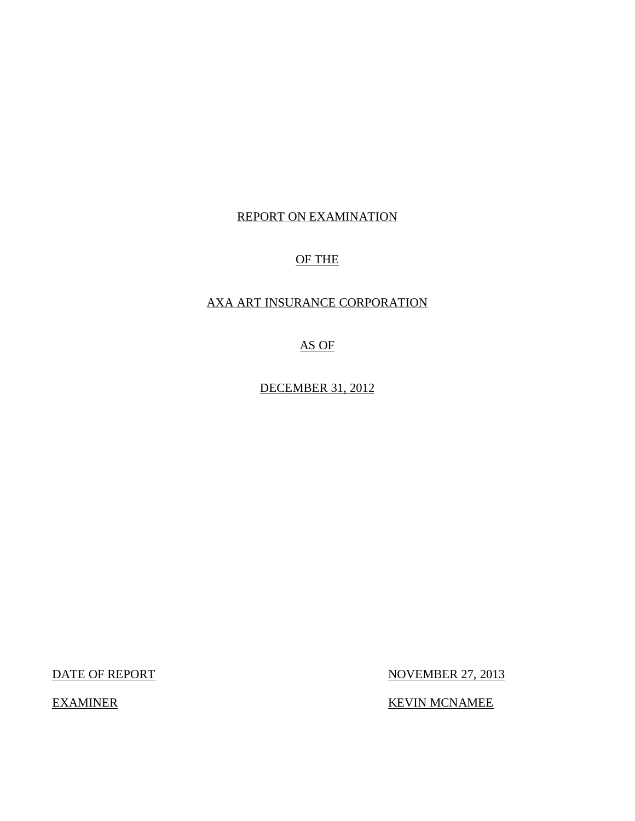## REPORT ON EXAMINATION

## OF THE

## AXA ART INSURANCE CORPORATION

AS OF

DECEMBER 31, 2012

DATE OF REPORT NOVEMBER 27, 2013

EXAMINER KEVIN MCNAMEE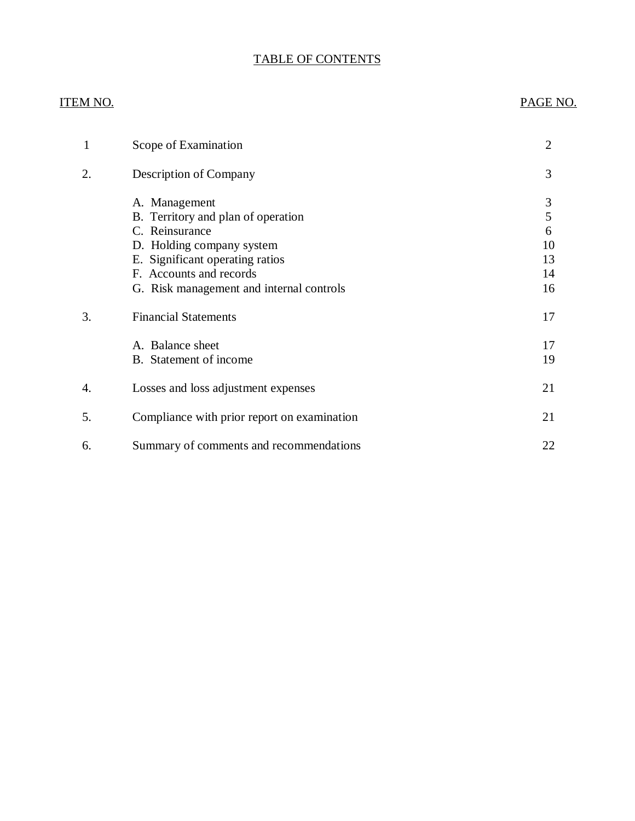# TABLE OF CONTENTS

## ITEM NO. PAGE NO.

| 1  | Scope of Examination                                                                                                                                                                                         | $\overline{2}$                      |
|----|--------------------------------------------------------------------------------------------------------------------------------------------------------------------------------------------------------------|-------------------------------------|
| 2. | Description of Company                                                                                                                                                                                       | 3                                   |
|    | A. Management<br>B. Territory and plan of operation<br>C. Reinsurance<br>D. Holding company system<br>E. Significant operating ratios<br>F. Accounts and records<br>G. Risk management and internal controls | 3<br>5<br>6<br>10<br>13<br>14<br>16 |
| 3. | <b>Financial Statements</b>                                                                                                                                                                                  | 17                                  |
|    | A. Balance sheet<br>B. Statement of income                                                                                                                                                                   | 17<br>19                            |
| 4. | Losses and loss adjustment expenses                                                                                                                                                                          | 21                                  |
| 5. | Compliance with prior report on examination                                                                                                                                                                  | 21                                  |
| 6. | Summary of comments and recommendations                                                                                                                                                                      | 22                                  |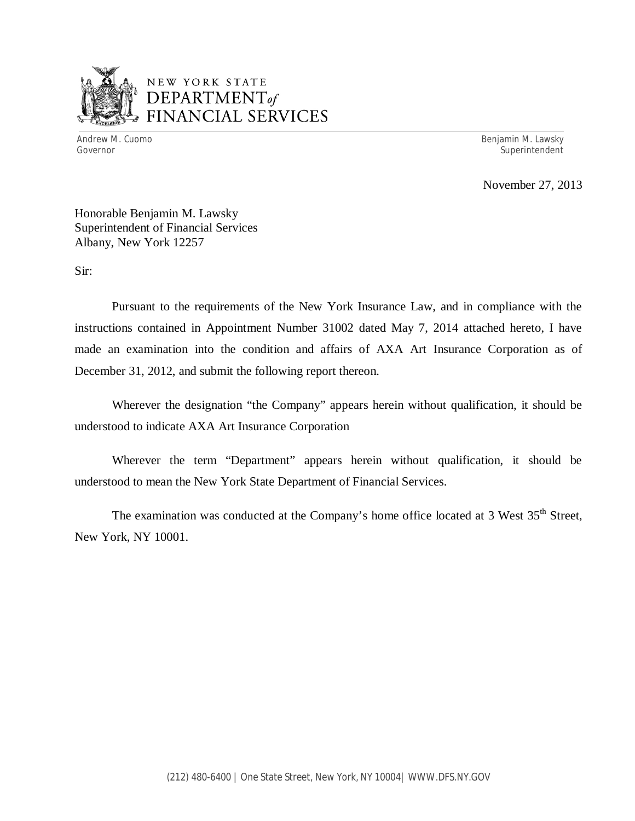

# NEW YORK STATE *DEPARTMENTof*  FINANCIAL SERVICES

Andrew M. Cuomo **Benjamin M. Lawsky** Governor Superintendent Superintendent Superintendent Superintendent Superintendent Superintendent Superintendent

November 27, 2013

Honorable Benjamin M. Lawsky Superintendent of Financial Services Albany, New York 12257

Sir:

Pursuant to the requirements of the New York Insurance Law, and in compliance with the instructions contained in Appointment Number 31002 dated May 7, 2014 attached hereto, I have made an examination into the condition and affairs of AXA Art Insurance Corporation as of December 31, 2012, and submit the following report thereon.

Wherever the designation "the Company" appears herein without qualification, it should be understood to indicate AXA Art Insurance Corporation

Wherever the term "Department" appears herein without qualification, it should be understood to mean the New York State Department of Financial Services.

The examination was conducted at the Company's home office located at 3 West 35<sup>th</sup> Street, New York, NY 10001.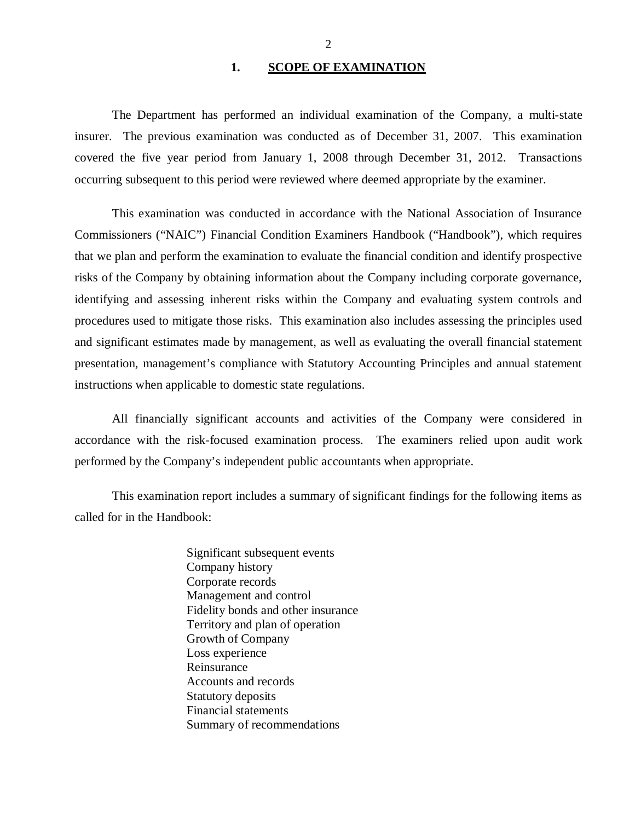#### 1. SCOPE OF EXAMINATION

<span id="page-3-0"></span>The Department has performed an individual examination of the Company*,* a multi-state insurer. The previous examination was conducted as of December 31, 2007. This examination covered the five year period from January 1, 2008 through December 31, 2012. Transactions occurring subsequent to this period were reviewed where deemed appropriate by the examiner.

This examination was conducted in accordance with the National Association of Insurance Commissioners ("NAIC") Financial Condition Examiners Handbook ("Handbook"), which requires that we plan and perform the examination to evaluate the financial condition and identify prospective risks of the Company by obtaining information about the Company including corporate governance, identifying and assessing inherent risks within the Company and evaluating system controls and procedures used to mitigate those risks. This examination also includes assessing the principles used and significant estimates made by management, as well as evaluating the overall financial statement presentation, management's compliance with Statutory Accounting Principles and annual statement instructions when applicable to domestic state regulations.

All financially significant accounts and activities of the Company were considered in accordance with the risk-focused examination process. The examiners relied upon audit work performed by the Company's independent public accountants when appropriate.

This examination report includes a summary of significant findings for the following items as called for in the Handbook:

> Significant subsequent events Company history Corporate records Management and control Fidelity bonds and other insurance Territory and plan of operation Growth of Company Loss experience Reinsurance Accounts and records Statutory deposits Financial statements Summary of recommendations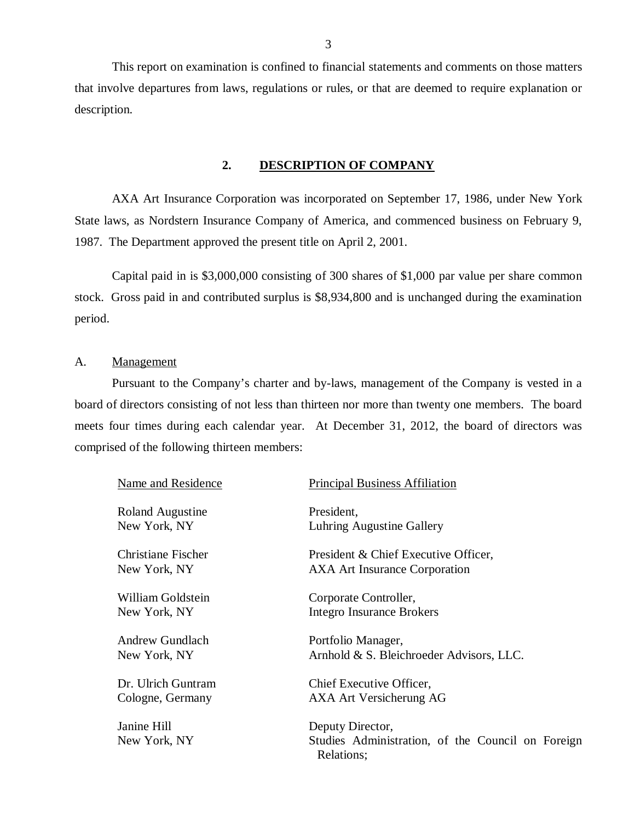This report on examination is confined to financial statements and comments on those matters that involve departures from laws, regulations or rules, or that are deemed to require explanation or description.

#### **2. DESCRIPTION OF COMPANY**

AXA Art Insurance Corporation was incorporated on September 17, 1986, under New York State laws, as Nordstern Insurance Company of America, and commenced business on February 9, 1987. The Department approved the present title on April 2, 2001.

Capital paid in is \$3,000,000 consisting of 300 shares of \$1,000 par value per share common stock. Gross paid in and contributed surplus is \$8,934,800 and is unchanged during the examination period.

#### A. Management

Pursuant to the Company's charter and by-laws, management of the Company is vested in a board of directors consisting of not less than thirteen nor more than twenty one members. The board meets four times during each calendar year. At December 31, 2012, the board of directors was comprised of the following thirteen members:

| Name and Residence          | <b>Principal Business Affiliation</b>                                               |
|-----------------------------|-------------------------------------------------------------------------------------|
| Roland Augustine            | President,                                                                          |
| New York, NY                | Luhring Augustine Gallery                                                           |
| <b>Christiane Fischer</b>   | President & Chief Executive Officer,                                                |
| New York, NY                | <b>AXA Art Insurance Corporation</b>                                                |
| William Goldstein           | Corporate Controller,                                                               |
| New York, NY                | <b>Integro Insurance Brokers</b>                                                    |
| <b>Andrew Gundlach</b>      | Portfolio Manager,                                                                  |
| New York, NY                | Arnhold & S. Bleichroeder Advisors, LLC.                                            |
| Dr. Ulrich Guntram          | Chief Executive Officer,                                                            |
| Cologne, Germany            | AXA Art Versicherung AG                                                             |
| Janine Hill<br>New York, NY | Deputy Director,<br>Studies Administration, of the Council on Foreign<br>Relations; |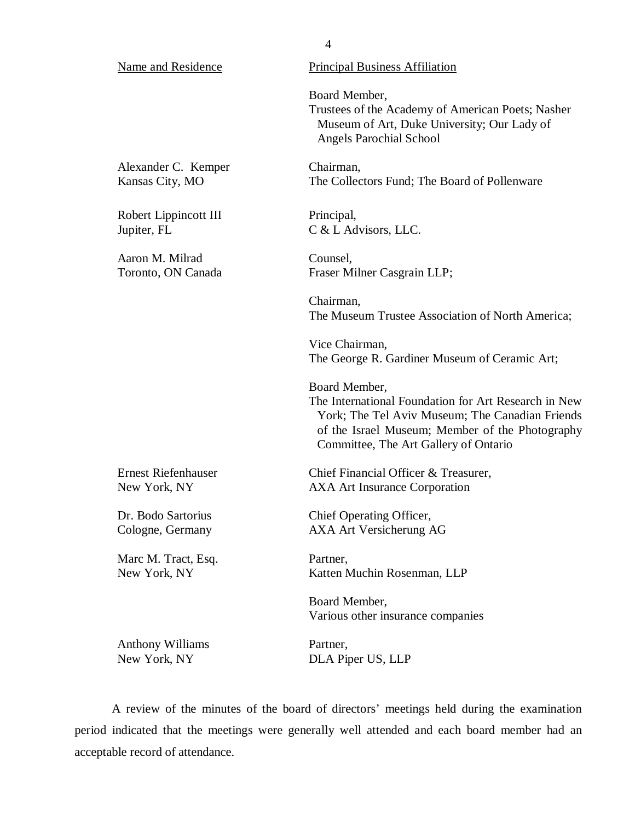|  |  |  | Name and Residence |
|--|--|--|--------------------|
|--|--|--|--------------------|

Principal Business Affiliation

Board Member, Trustees of the Academy of American Poets; Nasher Museum of Art, Duke University; Our Lady of Angels Parochial School

Alexander C. Kemper Chairman, Kansas City, MO The Collectors Fund; The Board of Pollenware

Robert Lippincott III Principal, Jupiter, FL C & L Advisors, LLC.

Aaron M. Milrad Counsel, Toronto, ON Canada Fraser Milner Casgrain LLP;

> Chairman, The Museum Trustee Association of North America;

Vice Chairman, The George R. Gardiner Museum of Ceramic Art;

Board Member, The International Foundation for Art Research in New

York; The Tel Aviv Museum; The Canadian Friends of the Israel Museum; Member of the Photography Committee, The Art Gallery of Ontario

Ernest Riefenhauser Chief Financial Officer & Treasurer, New York, NY AXA Art Insurance Corporation

Dr. Bodo Sartorius Chief Operating Officer, Cologne, Germany AXA Art Versicherung AG

New York, NY Katten Muchin Rosenman, LLP

Board Member, Various other insurance companies

A review of the minutes of the board of directors' meetings held during the examination period indicated that the meetings were generally well attended and each board member had an acceptable record of attendance.

Marc M. Tract, Esq. Partner,

Anthony Williams Partner, New York, NY DLA Piper US, LLP

4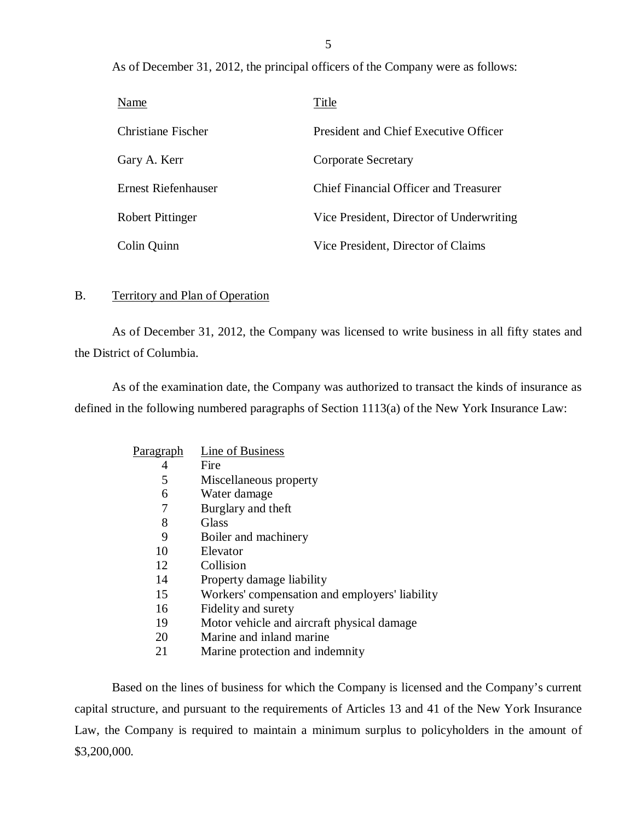<span id="page-6-0"></span>As of December 31, 2012, the principal officers of the Company were as follows:

| Name                    | Title                                        |
|-------------------------|----------------------------------------------|
| Christiane Fischer      | <b>President and Chief Executive Officer</b> |
| Gary A. Kerr            | <b>Corporate Secretary</b>                   |
| Ernest Riefenhauser     | Chief Financial Officer and Treasurer        |
| <b>Robert Pittinger</b> | Vice President, Director of Underwriting     |
| Colin Quinn             | Vice President, Director of Claims           |

#### B. Territory and Plan of Operation

As of December 31, 2012, the Company was licensed to write business in all fifty states and the District of Columbia.

As of the examination date, the Company was authorized to transact the kinds of insurance as defined in the following numbered paragraphs of Section 1113(a) of the New York Insurance Law:

| P <u>aragraph</u> | Line of Business                               |
|-------------------|------------------------------------------------|
| 4                 | Fire                                           |
| 5                 | Miscellaneous property                         |
| 6                 | Water damage                                   |
| 7                 | Burglary and theft                             |
| 8                 | Glass                                          |
| 9                 | Boiler and machinery                           |
| 10                | Elevator                                       |
| 12                | Collision                                      |
| 14                | Property damage liability                      |
| 15                | Workers' compensation and employers' liability |
| 16                | Fidelity and surety                            |
| 19                | Motor vehicle and aircraft physical damage     |
| 20                | Marine and inland marine                       |
| 21                | Marine protection and indemnity                |

Based on the lines of business for which the Company is licensed and the Company's current capital structure, and pursuant to the requirements of Articles 13 and 41 of the New York Insurance Law, the Company is required to maintain a minimum surplus to policyholders in the amount of \$3,200,000.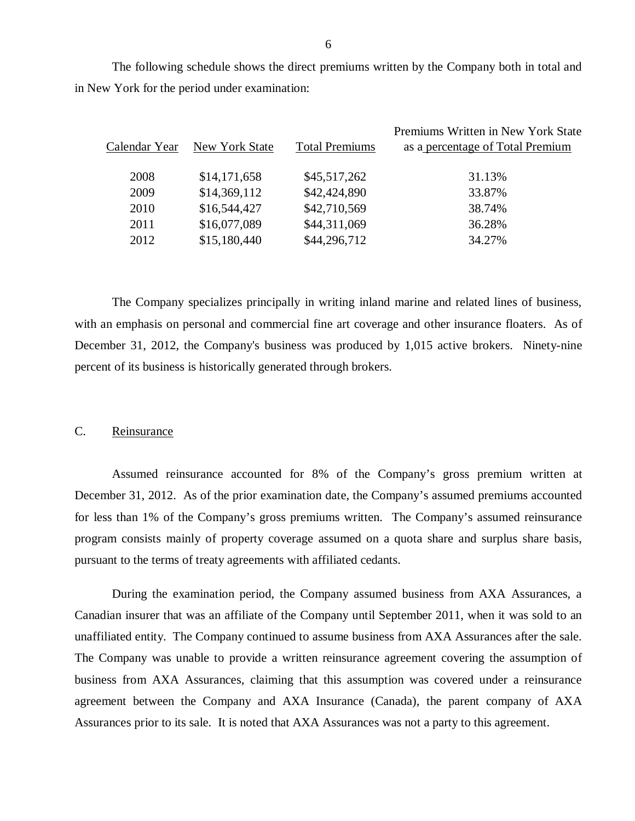The following schedule shows the direct premiums written by the Company both in total and in New York for the period under examination:

| Calendar Year | New York State | <b>Total Premiums</b> | Premiums Written in New York State<br>as a percentage of Total Premium |
|---------------|----------------|-----------------------|------------------------------------------------------------------------|
| 2008          | \$14,171,658   | \$45,517,262          | 31.13%                                                                 |
| 2009          | \$14,369,112   | \$42,424,890          | 33.87%                                                                 |
| 2010          | \$16,544,427   | \$42,710,569          | 38.74%                                                                 |
| 2011          | \$16,077,089   | \$44,311,069          | 36.28%                                                                 |
| 2012          | \$15,180,440   | \$44,296,712          | 34.27%                                                                 |
|               |                |                       |                                                                        |

The Company specializes principally in writing inland marine and related lines of business, with an emphasis on personal and commercial fine art coverage and other insurance floaters. As of December 31, 2012, the Company's business was produced by 1,015 active brokers. Ninety-nine percent of its business is historically generated through brokers.

#### C. Reinsurance

Assumed reinsurance accounted for 8% of the Company's gross premium written at December 31, 2012. As of the prior examination date, the Company's assumed premiums accounted for less than 1% of the Company's gross premiums written. The Company's assumed reinsurance program consists mainly of property coverage assumed on a quota share and surplus share basis, pursuant to the terms of treaty agreements with affiliated cedants.

During the examination period, the Company assumed business from AXA Assurances, a Canadian insurer that was an affiliate of the Company until September 2011, when it was sold to an unaffiliated entity. The Company continued to assume business from AXA Assurances after the sale. The Company was unable to provide a written reinsurance agreement covering the assumption of business from AXA Assurances, claiming that this assumption was covered under a reinsurance agreement between the Company and AXA Insurance (Canada), the parent company of AXA Assurances prior to its sale. It is noted that AXA Assurances was not a party to this agreement.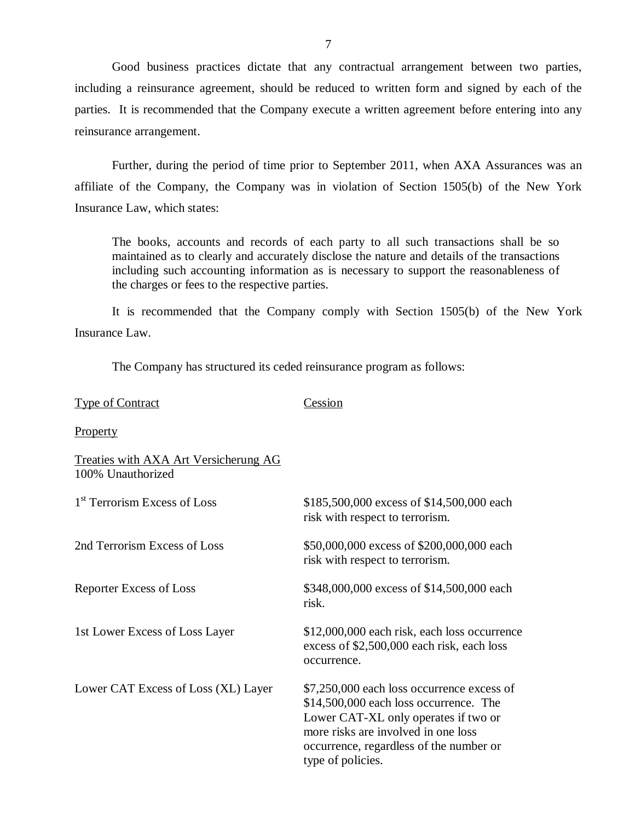Good business practices dictate that any contractual arrangement between two parties, including a reinsurance agreement, should be reduced to written form and signed by each of the parties. It is recommended that the Company execute a written agreement before entering into any reinsurance arrangement.

Further, during the period of time prior to September 2011, when AXA Assurances was an affiliate of the Company, the Company was in violation of Section 1505(b) of the New York Insurance Law, which states:

The books, accounts and records of each party to all such transactions shall be so maintained as to clearly and accurately disclose the nature and details of the transactions including such accounting information as is necessary to support the reasonableness of the charges or fees to the respective parties.

It is recommended that the Company comply with Section 1505(b) of the New York Insurance Law.

The Company has structured its ceded reinsurance program as follows:

Type of Contract Cession

| <b>Property</b>                                            |                                                                                                                                                                                                                                     |
|------------------------------------------------------------|-------------------------------------------------------------------------------------------------------------------------------------------------------------------------------------------------------------------------------------|
| Treaties with AXA Art Versicherung AG<br>100% Unauthorized |                                                                                                                                                                                                                                     |
| 1 <sup>st</sup> Terrorism Excess of Loss                   | \$185,500,000 excess of \$14,500,000 each<br>risk with respect to terrorism.                                                                                                                                                        |
| 2nd Terrorism Excess of Loss                               | \$50,000,000 excess of \$200,000,000 each<br>risk with respect to terrorism.                                                                                                                                                        |
| <b>Reporter Excess of Loss</b>                             | \$348,000,000 excess of \$14,500,000 each<br>risk.                                                                                                                                                                                  |
| 1st Lower Excess of Loss Layer                             | \$12,000,000 each risk, each loss occurrence<br>excess of \$2,500,000 each risk, each loss<br>occurrence.                                                                                                                           |
| Lower CAT Excess of Loss (XL) Layer                        | \$7,250,000 each loss occurrence excess of<br>\$14,500,000 each loss occurrence. The<br>Lower CAT-XL only operates if two or<br>more risks are involved in one loss<br>occurrence, regardless of the number or<br>type of policies. |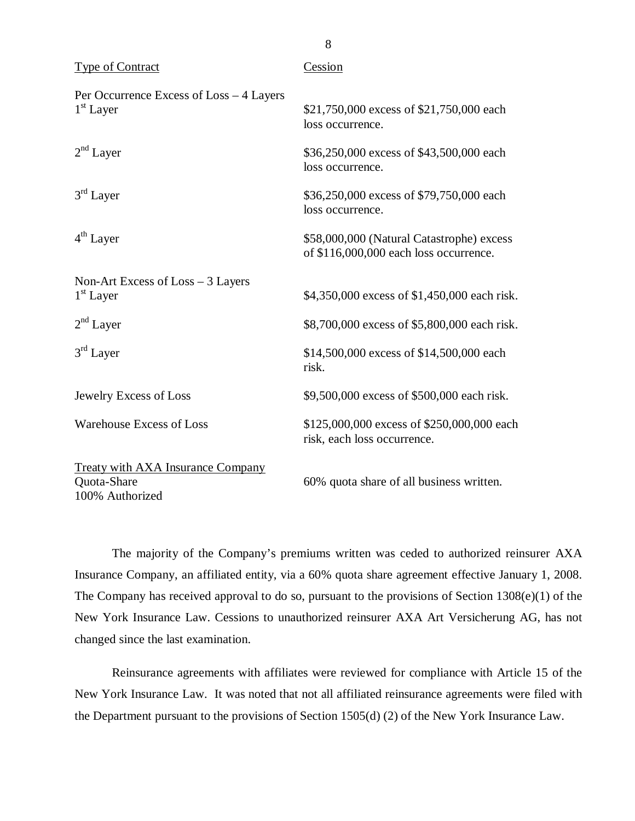| <b>Type of Contract</b>                                                    | Cession                                                                             |
|----------------------------------------------------------------------------|-------------------------------------------------------------------------------------|
| Per Occurrence Excess of Loss – 4 Layers<br>$1st$ Layer                    | \$21,750,000 excess of \$21,750,000 each<br>loss occurrence.                        |
| $2nd$ Layer                                                                | \$36,250,000 excess of \$43,500,000 each<br>loss occurrence.                        |
| $3rd$ Layer                                                                | \$36,250,000 excess of \$79,750,000 each<br>loss occurrence.                        |
| 4 <sup>th</sup> Layer                                                      | \$58,000,000 (Natural Catastrophe) excess<br>of \$116,000,000 each loss occurrence. |
| Non-Art Excess of $Loss - 3$ Layers<br>1 <sup>st</sup> Layer               | \$4,350,000 excess of \$1,450,000 each risk.                                        |
| 2 <sup>nd</sup> Layer                                                      | \$8,700,000 excess of \$5,800,000 each risk.                                        |
| 3 <sup>rd</sup> Layer                                                      | \$14,500,000 excess of \$14,500,000 each<br>risk.                                   |
| Jewelry Excess of Loss                                                     | \$9,500,000 excess of \$500,000 each risk.                                          |
| <b>Warehouse Excess of Loss</b>                                            | \$125,000,000 excess of \$250,000,000 each<br>risk, each loss occurrence.           |
| <b>Treaty with AXA Insurance Company</b><br>Quota-Share<br>100% Authorized | 60% quota share of all business written.                                            |

The majority of the Company's premiums written was ceded to authorized reinsurer AXA Insurance Company, an affiliated entity, via a 60% quota share agreement effective January 1, 2008. The Company has received approval to do so, pursuant to the provisions of Section 1308(e)(1) of the New York Insurance Law. Cessions to unauthorized reinsurer AXA Art Versicherung AG, has not changed since the last examination.

Reinsurance agreements with affiliates were reviewed for compliance with Article 15 of the New York Insurance Law. It was noted that not all affiliated reinsurance agreements were filed with the Department pursuant to the provisions of Section 1505(d) (2) of the New York Insurance Law.

8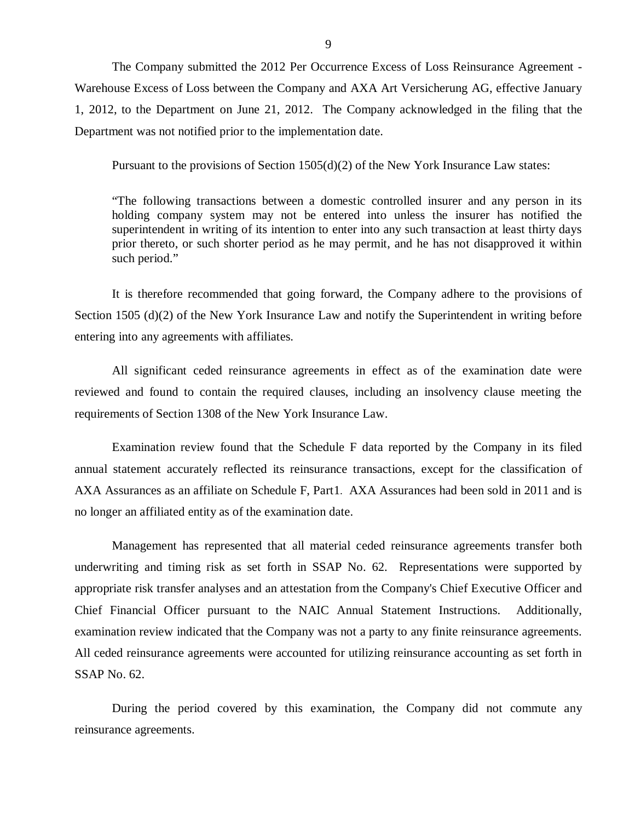The Company submitted the 2012 Per Occurrence Excess of Loss Reinsurance Agreement - Warehouse Excess of Loss between the Company and AXA Art Versicherung AG, effective January 1, 2012, to the Department on June 21, 2012. The Company acknowledged in the filing that the Department was not notified prior to the implementation date.

Pursuant to the provisions of Section 1505(d)(2) of the New York Insurance Law states:

"The following transactions between a domestic controlled insurer and any person in its holding company system may not be entered into unless the insurer has notified the superintendent in writing of its intention to enter into any such transaction at least thirty days prior thereto, or such shorter period as he may permit, and he has not disapproved it within such period."

It is therefore recommended that going forward, the Company adhere to the provisions of Section 1505 (d)(2) of the New York Insurance Law and notify the Superintendent in writing before entering into any agreements with affiliates.

All significant ceded reinsurance agreements in effect as of the examination date were reviewed and found to contain the required clauses, including an insolvency clause meeting the requirements of Section 1308 of the New York Insurance Law.

Examination review found that the Schedule F data reported by the Company in its filed annual statement accurately reflected its reinsurance transactions, except for the classification of AXA Assurances as an affiliate on Schedule F, Part1. AXA Assurances had been sold in 2011 and is no longer an affiliated entity as of the examination date.

Management has represented that all material ceded reinsurance agreements transfer both underwriting and timing risk as set forth in SSAP No. 62. Representations were supported by appropriate risk transfer analyses and an attestation from the Company's Chief Executive Officer and Chief Financial Officer pursuant to the NAIC Annual Statement Instructions. Additionally, examination review indicated that the Company was not a party to any finite reinsurance agreements. All ceded reinsurance agreements were accounted for utilizing reinsurance accounting as set forth in SSAP No. 62.

During the period covered by this examination, the Company did not commute any reinsurance agreements.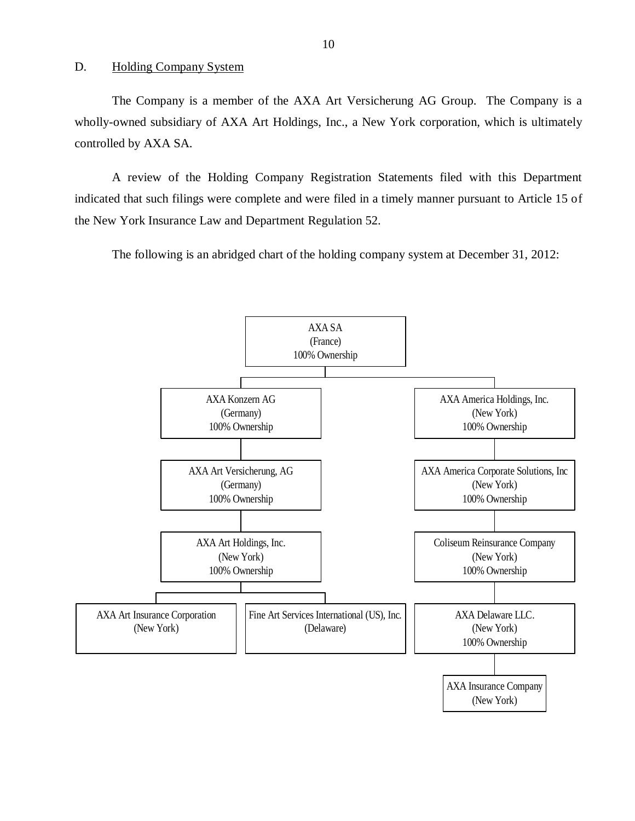<span id="page-11-0"></span>D. Holding Company System

The Company is a member of the AXA Art Versicherung AG Group. The Company is a wholly-owned subsidiary of AXA Art Holdings, Inc., a New York corporation, which is ultimately controlled by AXA SA.

A review of the Holding Company Registration Statements filed with this Department indicated that such filings were complete and were filed in a timely manner pursuant to Article 15 of the New York Insurance Law and Department Regulation 52.

The following is an abridged chart of the holding company system at December 31, 2012:

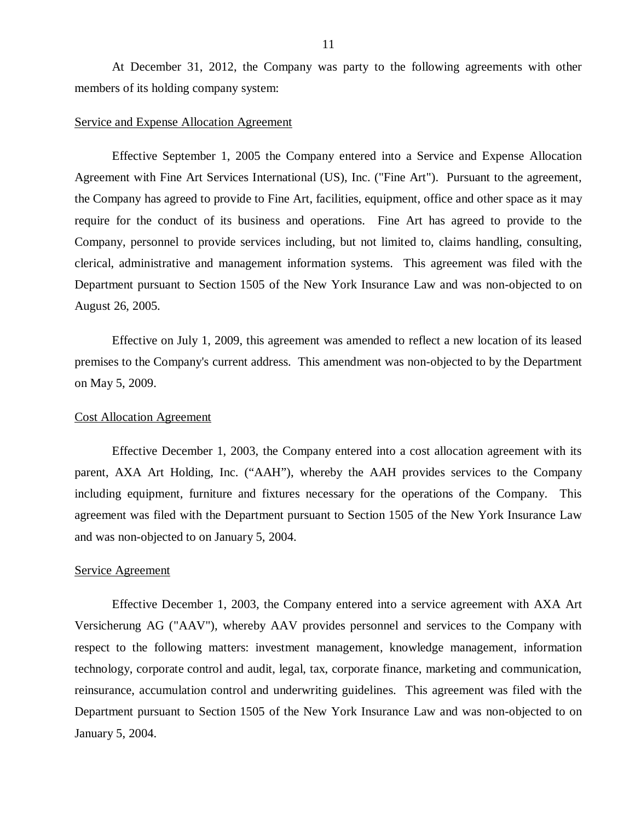At December 31, 2012, the Company was party to the following agreements with other members of its holding company system:

#### Service and Expense Allocation Agreement

Effective September 1, 2005 the Company entered into a Service and Expense Allocation Agreement with Fine Art Services International (US), Inc. ("Fine Art"). Pursuant to the agreement, the Company has agreed to provide to Fine Art, facilities, equipment, office and other space as it may require for the conduct of its business and operations. Fine Art has agreed to provide to the Company, personnel to provide services including, but not limited to, claims handling, consulting, clerical, administrative and management information systems. This agreement was filed with the Department pursuant to Section 1505 of the New York Insurance Law and was non-objected to on August 26, 2005.

Effective on July 1, 2009, this agreement was amended to reflect a new location of its leased premises to the Company's current address. This amendment was non-objected to by the Department on May 5, 2009.

#### Cost Allocation Agreement

Effective December 1, 2003, the Company entered into a cost allocation agreement with its parent, AXA Art Holding, Inc. ("AAH"), whereby the AAH provides services to the Company including equipment, furniture and fixtures necessary for the operations of the Company. This agreement was filed with the Department pursuant to Section 1505 of the New York Insurance Law and was non-objected to on January 5, 2004.

#### Service Agreement

Effective December 1, 2003, the Company entered into a service agreement with AXA Art Versicherung AG ("AAV"), whereby AAV provides personnel and services to the Company with respect to the following matters: investment management, knowledge management, information technology, corporate control and audit, legal, tax, corporate finance, marketing and communication, reinsurance, accumulation control and underwriting guidelines. This agreement was filed with the Department pursuant to Section 1505 of the New York Insurance Law and was non-objected to on January 5, 2004.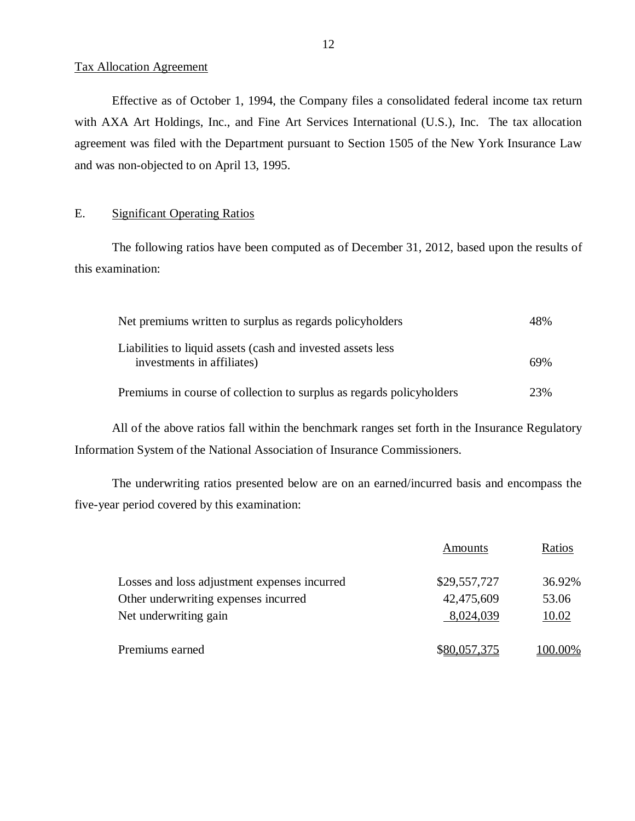#### Tax Allocation Agreement

Effective as of October 1, 1994, the Company files a consolidated federal income tax return with AXA Art Holdings, Inc., and Fine Art Services International (U.S.), Inc. The tax allocation agreement was filed with the Department pursuant to Section 1505 of the New York Insurance Law and was non-objected to on April 13, 1995.

## E. Significant Operating Ratios

The following ratios have been computed as of December 31, 2012, based upon the results of this examination:

| Net premiums written to surplus as regards policyholders                                  | 48% |
|-------------------------------------------------------------------------------------------|-----|
| Liabilities to liquid assets (cash and invested assets less<br>investments in affiliates) | 69% |
| Premiums in course of collection to surplus as regards policyholders                      | 23% |

All of the above ratios fall within the benchmark ranges set forth in the Insurance Regulatory Information System of the National Association of Insurance Commissioners.

The underwriting ratios presented below are on an earned/incurred basis and encompass the five-year period covered by this examination:

|                                              | Amounts      | Ratios  |
|----------------------------------------------|--------------|---------|
| Losses and loss adjustment expenses incurred | \$29,557,727 | 36.92%  |
| Other underwriting expenses incurred         | 42,475,609   | 53.06   |
| Net underwriting gain                        | 8,024,039    | 10.02   |
| Premiums earned                              | \$80,057,375 | 100.00% |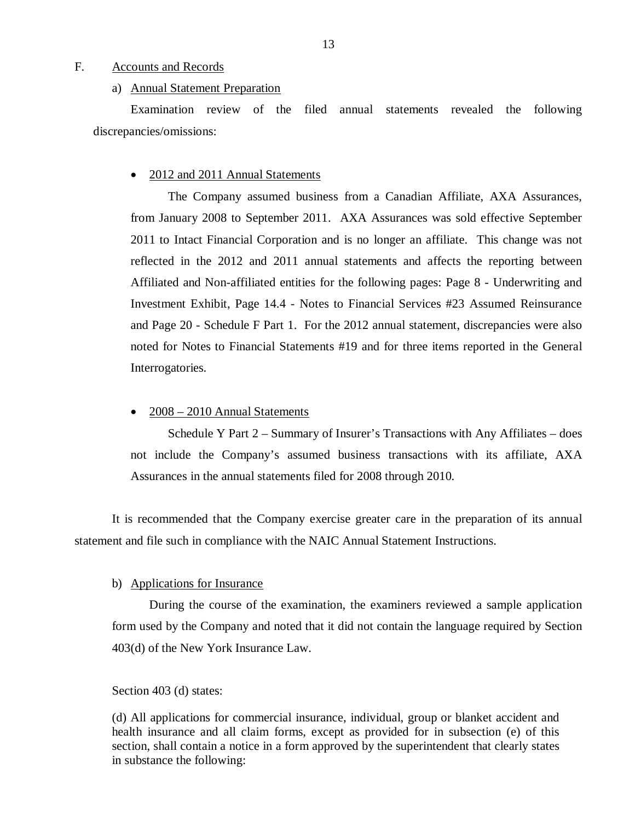#### <span id="page-14-0"></span>F. Accounts and Records

#### a) Annual Statement Preparation

Examination review of the filed annual statements revealed the following discrepancies/omissions:

#### • 2012 and 2011 Annual Statements

The Company assumed business from a Canadian Affiliate, AXA Assurances, from January 2008 to September 2011. AXA Assurances was sold effective September 2011 to Intact Financial Corporation and is no longer an affiliate. This change was not reflected in the 2012 and 2011 annual statements and affects the reporting between Affiliated and Non-affiliated entities for the following pages: Page 8 - Underwriting and Investment Exhibit, Page 14.4 - Notes to Financial Services #23 Assumed Reinsurance and Page 20 - Schedule F Part 1. For the 2012 annual statement, discrepancies were also noted for Notes to Financial Statements #19 and for three items reported in the General Interrogatories.

#### • 2008 – 2010 Annual Statements

Schedule Y Part 2 – Summary of Insurer's Transactions with Any Affiliates – does not include the Company's assumed business transactions with its affiliate, AXA Assurances in the annual statements filed for 2008 through 2010.

It is recommended that the Company exercise greater care in the preparation of its annual statement and file such in compliance with the NAIC Annual Statement Instructions.

#### b) Applications for Insurance

During the course of the examination, the examiners reviewed a sample application form used by the Company and noted that it did not contain the language required by Section 403(d) of the New York Insurance Law.

#### Section 403 (d) states:

(d) All applications for commercial insurance, individual, group or blanket accident and health insurance and all claim forms, except as provided for in subsection (e) of this section, shall contain a notice in a form approved by the superintendent that clearly states in substance the following: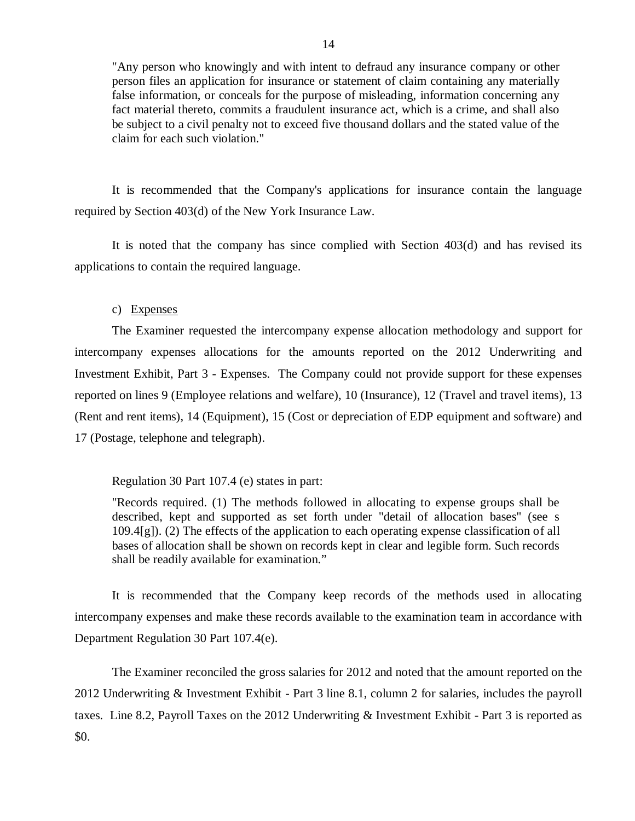<span id="page-15-0"></span>"Any person who knowingly and with intent to defraud any insurance company or other person files an application for insurance or statement of claim containing any materially false information, or conceals for the purpose of misleading, information concerning any fact material thereto, commits a fraudulent insurance act, which is a crime, and shall also be subject to a civil penalty not to exceed five thousand dollars and the stated value of the claim for each such violation."

It is recommended that the Company's applications for insurance contain the language required by Section 403(d) of the New York Insurance Law.

It is noted that the company has since complied with Section 403(d) and has revised its applications to contain the required language.

#### c) Expenses

The Examiner requested the intercompany expense allocation methodology and support for intercompany expenses allocations for the amounts reported on the 2012 Underwriting and Investment Exhibit, Part 3 - Expenses. The Company could not provide support for these expenses reported on lines 9 (Employee relations and welfare), 10 (Insurance), 12 (Travel and travel items), 13 (Rent and rent items), 14 (Equipment), 15 (Cost or depreciation of EDP equipment and software) and 17 (Postage, telephone and telegraph).

Regulation 30 Part 107.4 (e) states in part:

"Records required. (1) The methods followed in allocating to expense groups shall be described, kept and supported as set forth under "detail of allocation bases" (see s 109.4[g]). (2) The effects of the application to each operating expense classification of all bases of allocation shall be shown on records kept in clear and legible form. Such records shall be readily available for examination."

It is recommended that the Company keep records of the methods used in allocating intercompany expenses and make these records available to the examination team in accordance with Department Regulation 30 Part 107.4(e).

The Examiner reconciled the gross salaries for 2012 and noted that the amount reported on the 2012 Underwriting & Investment Exhibit - Part 3 line 8.1, column 2 for salaries, includes the payroll taxes. Line 8.2, Payroll Taxes on the 2012 Underwriting & Investment Exhibit - Part 3 is reported as \$0.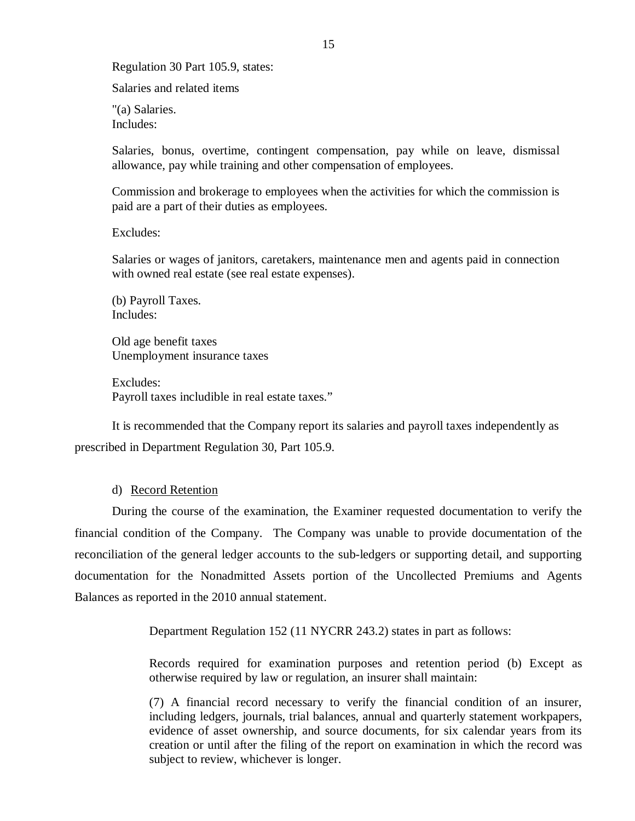Regulation 30 Part 105.9, states:

Salaries and related items

"(a) Salaries. Includes:

Salaries, bonus, overtime, contingent compensation, pay while on leave, dismissal allowance, pay while training and other compensation of employees.

Commission and brokerage to employees when the activities for which the commission is paid are a part of their duties as employees.

Excludes:

Salaries or wages of janitors, caretakers, maintenance men and agents paid in connection with owned real estate (see real estate expenses).

(b) Payroll Taxes. Includes:

Old age benefit taxes Unemployment insurance taxes

Excludes: Payroll taxes includible in real estate taxes."

It is recommended that the Company report its salaries and payroll taxes independently as prescribed in Department Regulation 30, Part 105.9.

#### d) Record Retention

During the course of the examination, the Examiner requested documentation to verify the financial condition of the Company. The Company was unable to provide documentation of the reconciliation of the general ledger accounts to the sub-ledgers or supporting detail, and supporting documentation for the Nonadmitted Assets portion of the Uncollected Premiums and Agents Balances as reported in the 2010 annual statement.

Department Regulation 152 (11 NYCRR 243.2) states in part as follows:

Records required for examination purposes and retention period (b) Except as otherwise required by law or regulation, an insurer shall maintain:

(7) A financial record necessary to verify the financial condition of an insurer, including ledgers, journals, trial balances, annual and quarterly statement workpapers, evidence of asset ownership, and source documents, for six calendar years from its creation or until after the filing of the report on examination in which the record was subject to review, whichever is longer.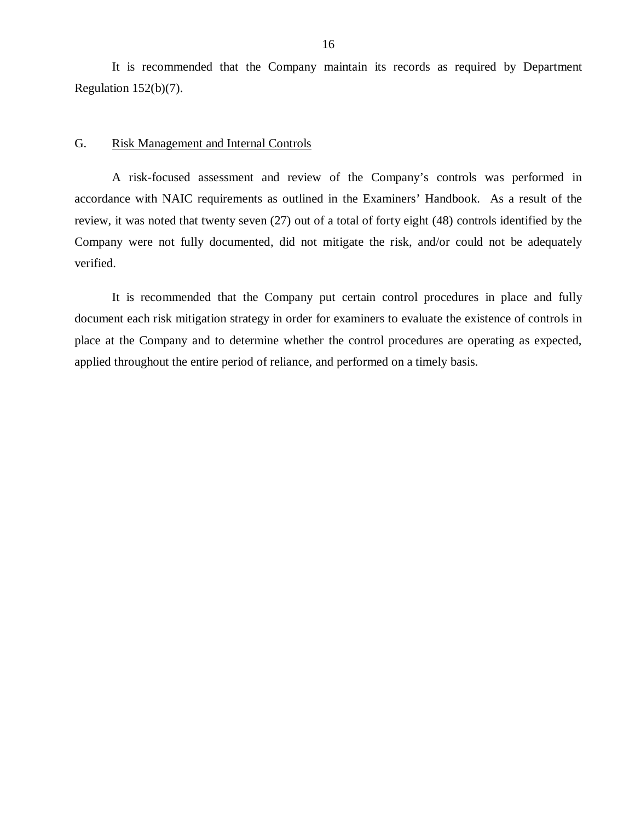<span id="page-17-0"></span>It is recommended that the Company maintain its records as required by Department Regulation 152(b)(7).

#### G. Risk Management and Internal Controls

A risk-focused assessment and review of the Company's controls was performed in accordance with NAIC requirements as outlined in the Examiners' Handbook. As a result of the review, it was noted that twenty seven (27) out of a total of forty eight (48) controls identified by the Company were not fully documented, did not mitigate the risk, and/or could not be adequately verified.

It is recommended that the Company put certain control procedures in place and fully document each risk mitigation strategy in order for examiners to evaluate the existence of controls in place at the Company and to determine whether the control procedures are operating as expected, applied throughout the entire period of reliance, and performed on a timely basis.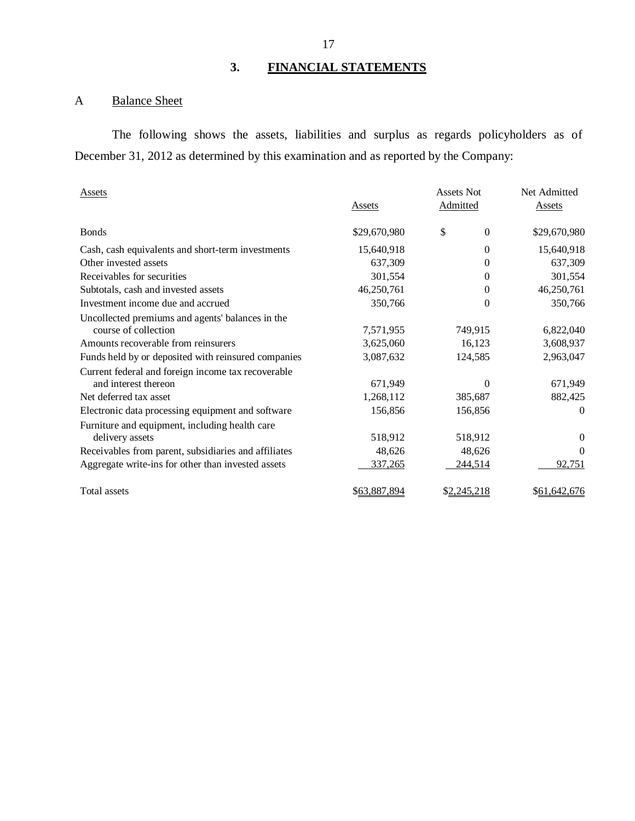# **3. FINANCIAL STATEMENTS**

## A Balance Sheet

The following shows the assets, liabilities and surplus as regards policyholders as of December 31, 2012 as determined by this examination and as reported by the Company:

| <b>Assets</b>                                        |                | Assets Not             | Net Admitted |
|------------------------------------------------------|----------------|------------------------|--------------|
|                                                      | Assets         | Admitted               | Assets       |
| <b>Bonds</b>                                         | \$29,670,980   | \$<br>$\boldsymbol{0}$ | \$29,670,980 |
| Cash, cash equivalents and short-term investments    | 15,640,918     | $\theta$               | 15,640,918   |
| Other invested assets                                | 637,309        | 0                      | 637,309      |
| Receivables for securities                           | 301,554        | $\theta$               | 301,554      |
| Subtotals, cash and invested assets                  | 46,250,761     | 0                      | 46,250,761   |
| Investment income due and accrued                    | 350,766        | 0                      | 350,766      |
| Uncollected premiums and agents' balances in the     |                |                        |              |
| course of collection                                 | 7,571,955      | 749,915                | 6,822,040    |
| Amounts recoverable from reinsurers                  | 3,625,060      | 16,123                 | 3,608,937    |
| Funds held by or deposited with reinsured companies  | 3,087,632      | 124,585                | 2,963,047    |
| Current federal and foreign income tax recoverable   |                |                        |              |
| and interest thereon                                 | 671,949        | 0                      | 671,949      |
| Net deferred tax asset                               | 1,268,112      | 385,687                | 882,425      |
| Electronic data processing equipment and software    | 156,856        | 156,856                | $\Omega$     |
| Furniture and equipment, including health care       |                |                        |              |
| delivery assets                                      | 518,912        | 518,912                | 0            |
| Receivables from parent, subsidiaries and affiliates | 48,626         | 48,626                 | $\theta$     |
| Aggregate write-ins for other than invested assets   | <u>337,265</u> | 244,514                | 92,751       |
| Total assets                                         | \$63,887,894   | \$2,245,218            | \$61,642,676 |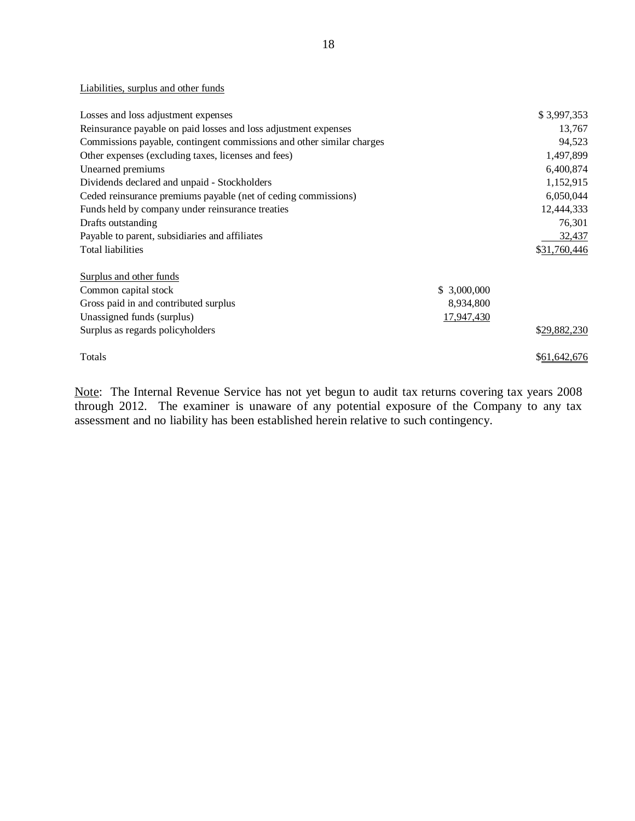#### Liabilities, surplus and other funds

| Losses and loss adjustment expenses                                   |             | \$3,997,353  |
|-----------------------------------------------------------------------|-------------|--------------|
| Reinsurance payable on paid losses and loss adjustment expenses       |             | 13,767       |
| Commissions payable, contingent commissions and other similar charges |             | 94,523       |
| Other expenses (excluding taxes, licenses and fees)                   |             | 1,497,899    |
| Unearned premiums                                                     |             | 6,400,874    |
| Dividends declared and unpaid - Stockholders                          |             | 1,152,915    |
| Ceded reinsurance premiums payable (net of ceding commissions)        |             | 6,050,044    |
| Funds held by company under reinsurance treaties                      |             | 12,444,333   |
| Drafts outstanding                                                    |             | 76,301       |
| Payable to parent, subsidiaries and affiliates                        |             | 32,437       |
| <b>Total liabilities</b>                                              |             | \$31,760,446 |
| Surplus and other funds                                               |             |              |
| Common capital stock                                                  | \$3,000,000 |              |
| Gross paid in and contributed surplus                                 | 8,934,800   |              |
| Unassigned funds (surplus)                                            | 17,947,430  |              |
| Surplus as regards policyholders                                      |             | \$29,882,230 |
| Totals                                                                |             | \$61,642,676 |

Note: The Internal Revenue Service has not yet begun to audit tax returns covering tax years 2008 through 2012. The examiner is unaware of any potential exposure of the Company to any tax assessment and no liability has been established herein relative to such contingency.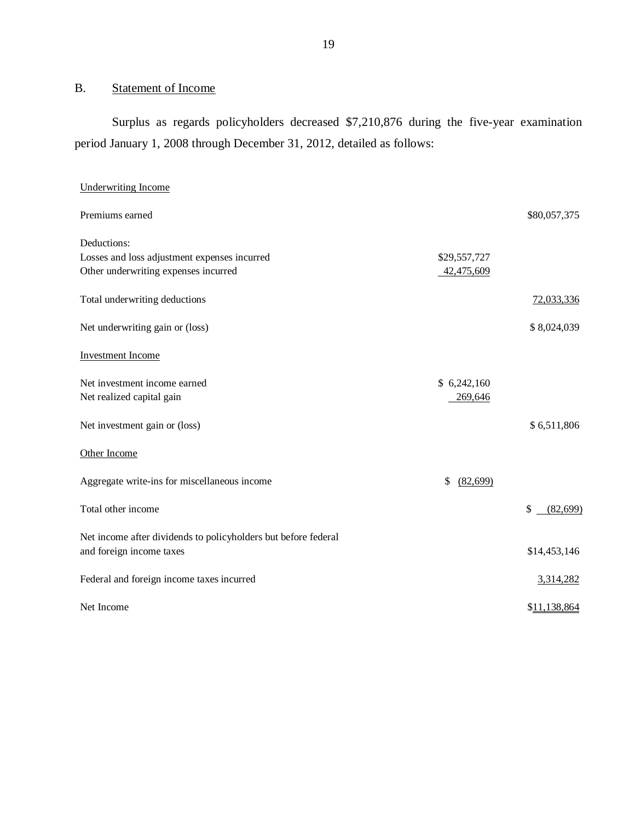# B. Statement of Income

Surplus as regards policyholders decreased \$7,210,876 during the five-year examination period January 1, 2008 through December 31, 2012, detailed as follows:

| <b>Underwriting Income</b>                                     |                 |                 |
|----------------------------------------------------------------|-----------------|-----------------|
| Premiums earned                                                |                 | \$80,057,375    |
| Deductions:                                                    |                 |                 |
| Losses and loss adjustment expenses incurred                   | \$29,557,727    |                 |
| Other underwriting expenses incurred                           | 42,475,609      |                 |
| Total underwriting deductions                                  |                 | 72,033,336      |
| Net underwriting gain or (loss)                                |                 | \$8,024,039     |
| <b>Investment Income</b>                                       |                 |                 |
| Net investment income earned                                   | \$6,242,160     |                 |
| Net realized capital gain                                      | 269,646         |                 |
| Net investment gain or (loss)                                  |                 | \$6,511,806     |
| Other Income                                                   |                 |                 |
| Aggregate write-ins for miscellaneous income                   | (82, 699)<br>\$ |                 |
| Total other income                                             |                 | \$<br>(82, 699) |
| Net income after dividends to policyholders but before federal |                 |                 |
| and foreign income taxes                                       |                 | \$14,453,146    |
| Federal and foreign income taxes incurred                      |                 | 3,314,282       |
| Net Income                                                     |                 | \$11,138,864    |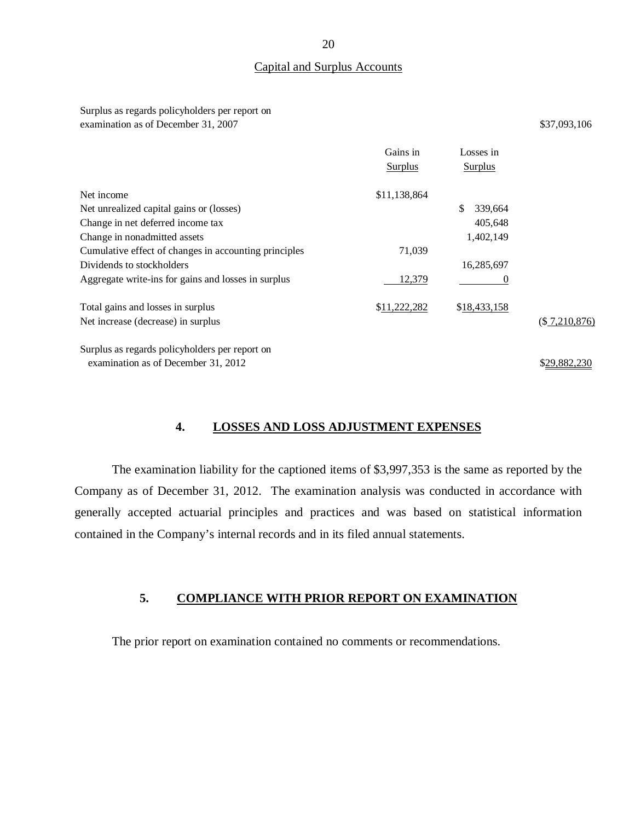#### Capital and Surplus Accounts

Surplus as regards policyholders per report on examination as of December 31, 2007 \$37,093,106

|                                                       | Gains in<br>Surplus | Losses in<br><b>Surplus</b> |                 |
|-------------------------------------------------------|---------------------|-----------------------------|-----------------|
| Net income                                            | \$11,138,864        |                             |                 |
| Net unrealized capital gains or (losses)              |                     | \$<br>339,664               |                 |
| Change in net deferred income tax                     |                     | 405,648                     |                 |
| Change in nonadmitted assets                          |                     | 1,402,149                   |                 |
| Cumulative effect of changes in accounting principles | 71,039              |                             |                 |
| Dividends to stockholders                             |                     | 16,285,697                  |                 |
| Aggregate write-ins for gains and losses in surplus   | 12,379              | 0                           |                 |
| Total gains and losses in surplus                     | \$11,222,282        | \$18,433,158                |                 |
| Net increase (decrease) in surplus                    |                     |                             | $(\$7,210,876)$ |
| Surplus as regards policyholders per report on        |                     |                             |                 |
| examination as of December 31, 2012                   |                     |                             | \$29,882,230    |

**4. LOSSES AND LOSS ADJUSTMENT EXPENSES** 

The examination liability for the captioned items of \$3,997,353 is the same as reported by the Company as of December 31, 2012. The examination analysis was conducted in accordance with generally accepted actuarial principles and practices and was based on statistical information contained in the Company's internal records and in its filed annual statements.

### **5. COMPLIANCE WITH PRIOR REPORT ON EXAMINATION**

The prior report on examination contained no comments or recommendations.

20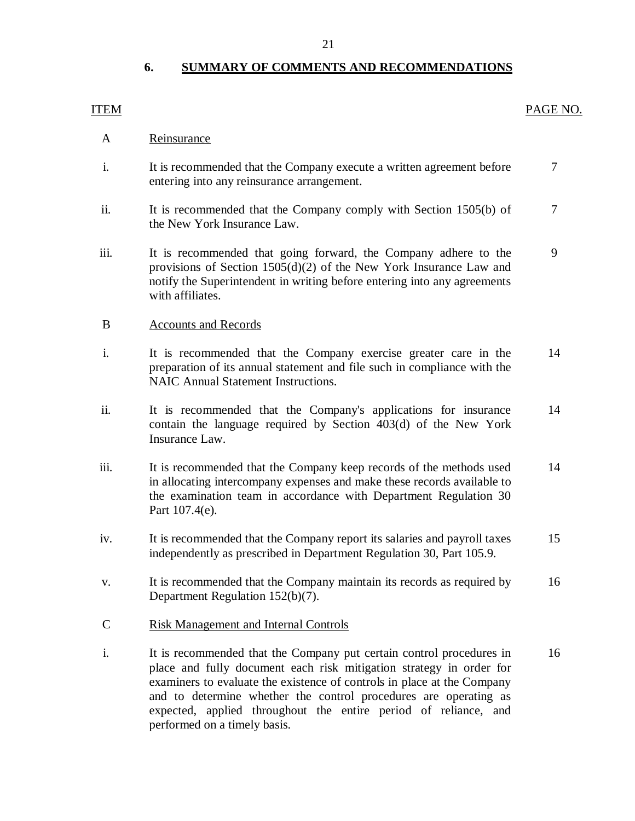## **6. SUMMARY OF COMMENTS AND RECOMMENDATIONS**

### <span id="page-22-0"></span>ITEM PAGE NO.

- A Reinsurance
- i. It is recommended that the Company execute a written agreement before  $\overline{7}$ entering into any reinsurance arrangement.
- ii. It is recommended that the Company comply with Section 1505(b) of 7 the New York Insurance Law.
- iii. It is recommended that going forward, the Company adhere to the 9 provisions of Section 1505(d)(2) of the New York Insurance Law and notify the Superintendent in writing before entering into any agreements with affiliates.

#### B Accounts and Records

- i. It is recommended that the Company exercise greater care in the 14 preparation of its annual statement and file such in compliance with the NAIC Annual Statement Instructions.
- ii. It is recommended that the Company's applications for insurance 14 contain the language required by Section 403(d) of the New York Insurance Law.
- iii. It is recommended that the Company keep records of the methods used 14 in allocating intercompany expenses and make these records available to the examination team in accordance with Department Regulation 30 Part 107.4(e).
- iv. It is recommended that the Company report its salaries and payroll taxes 15 independently as prescribed in Department Regulation 30, Part 105.9.
- v. It is recommended that the Company maintain its records as required by 16 Department Regulation 152(b)(7).
- C Risk Management and Internal Controls
- i. It is recommended that the Company put certain control procedures in 16 place and fully document each risk mitigation strategy in order for examiners to evaluate the existence of controls in place at the Company and to determine whether the control procedures are operating as expected, applied throughout the entire period of reliance, and performed on a timely basis.

21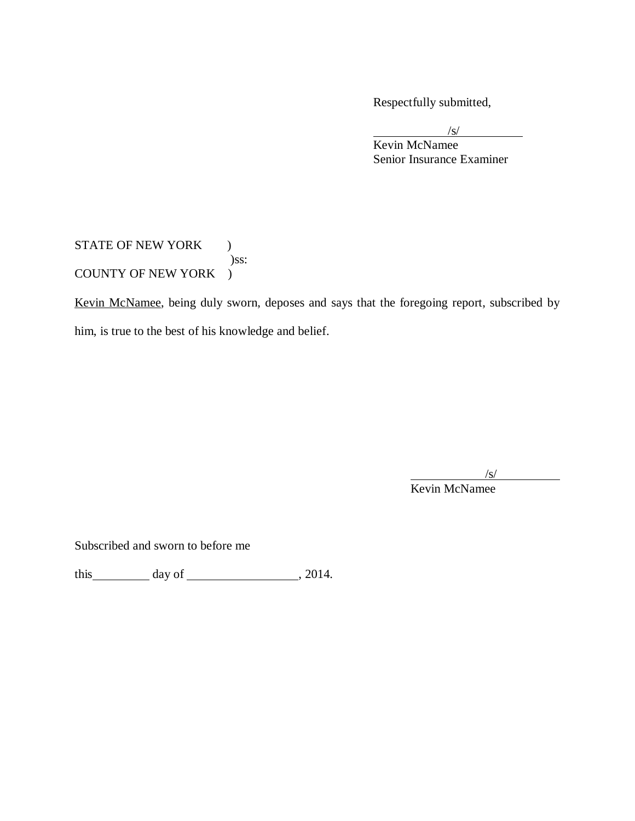Respectfully submitted,

/s/

Kevin McNamee Senior Insurance Examiner

STATE OF NEW YORK ) )ss: COUNTY OF NEW YORK )

Kevin McNamee, being duly sworn, deposes and says that the foregoing report, subscribed by him, is true to the best of his knowledge and belief.

 $\sqrt{s}$ /

Kevin McNamee

Subscribed and sworn to before me

this  $\_\_\_\_\_\$  day of  $\_\_\_\_\_\_\_\_\_\_\_\_\_$ , 2014.